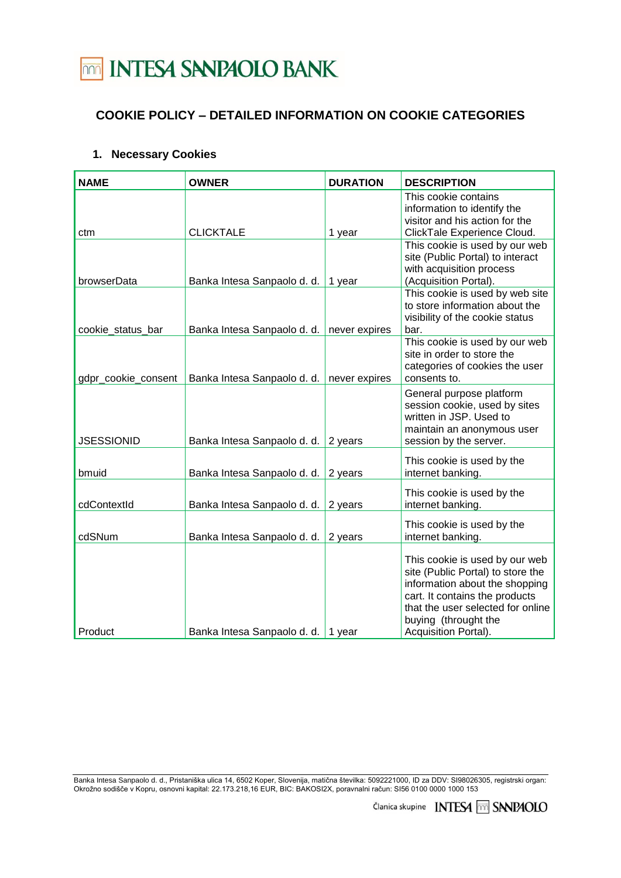# **TOTAL INTESA SANPAOLO BANK**

### **COOKIE POLICY – DETAILED INFORMATION ON COOKIE CATEGORIES**

#### **1. Necessary Cookies**

| <b>NAME</b>         | <b>OWNER</b>                | <b>DURATION</b> | <b>DESCRIPTION</b>                                                                                                                                                                                                           |
|---------------------|-----------------------------|-----------------|------------------------------------------------------------------------------------------------------------------------------------------------------------------------------------------------------------------------------|
|                     | <b>CLICKTALE</b>            |                 | This cookie contains<br>information to identify the<br>visitor and his action for the                                                                                                                                        |
| ctm                 |                             | 1 year          | ClickTale Experience Cloud.<br>This cookie is used by our web<br>site (Public Portal) to interact<br>with acquisition process                                                                                                |
| browserData         | Banka Intesa Sanpaolo d. d. | 1 year          | (Acquisition Portal).                                                                                                                                                                                                        |
| cookie_status_bar   | Banka Intesa Sanpaolo d. d. | never expires   | This cookie is used by web site<br>to store information about the<br>visibility of the cookie status<br>bar.                                                                                                                 |
| gdpr_cookie_consent | Banka Intesa Sanpaolo d. d. | never expires   | This cookie is used by our web<br>site in order to store the<br>categories of cookies the user<br>consents to.                                                                                                               |
| <b>JSESSIONID</b>   | Banka Intesa Sanpaolo d. d. | 2 years         | General purpose platform<br>session cookie, used by sites<br>written in JSP. Used to<br>maintain an anonymous user<br>session by the server.                                                                                 |
| bmuid               | Banka Intesa Sanpaolo d. d. | 2 years         | This cookie is used by the<br>internet banking.                                                                                                                                                                              |
| cdContextId         | Banka Intesa Sanpaolo d. d. | 2 years         | This cookie is used by the<br>internet banking.                                                                                                                                                                              |
| cdSNum              | Banka Intesa Sanpaolo d. d. | 2 years         | This cookie is used by the<br>internet banking.                                                                                                                                                                              |
| Product             | Banka Intesa Sanpaolo d. d. | 1 year          | This cookie is used by our web<br>site (Public Portal) to store the<br>information about the shopping<br>cart. It contains the products<br>that the user selected for online<br>buying (throught the<br>Acquisition Portal). |

Banka Intesa Sanpaolo d. d., Pristaniška ulica 14, 6502 Koper, Slovenija, matična številka: 5092221000, ID za DDV: SI98026305, registrski organ: Okrožno sodišče v Kopru, osnovni kapital: 22.173.218,16 EUR, BIC: BAKOSI2X, poravnalni račun: SI56 0100 0000 1000 153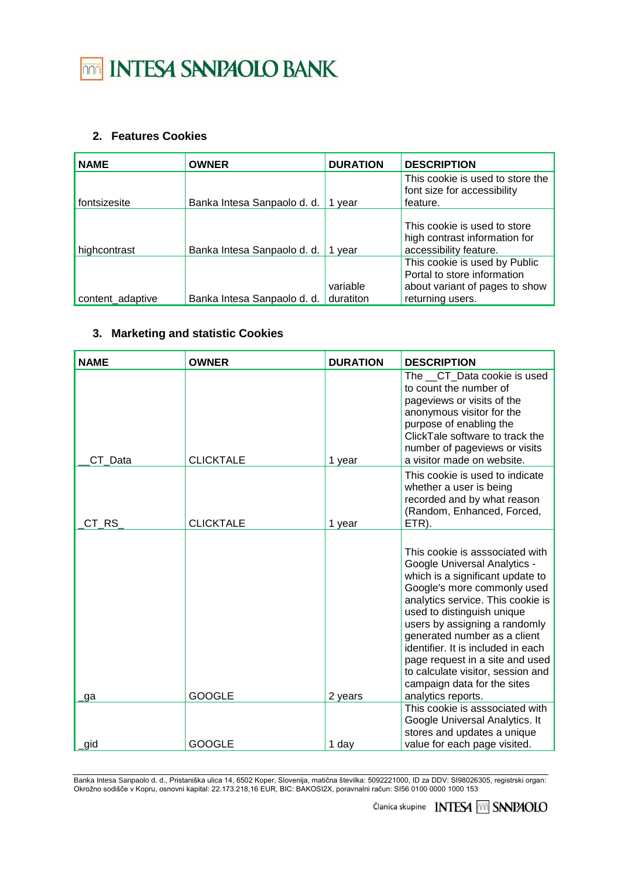# 

### **2. Features Cookies**

| <b>NAME</b>      | <b>OWNER</b>                | <b>DURATION</b>       | <b>DESCRIPTION</b>                                                                                                 |
|------------------|-----------------------------|-----------------------|--------------------------------------------------------------------------------------------------------------------|
| fontsizesite     | Banka Intesa Sanpaolo d. d. | vear                  | This cookie is used to store the<br>font size for accessibility<br>feature.                                        |
| highcontrast     | Banka Intesa Sanpaolo d. d. | 1 vear                | This cookie is used to store<br>high contrast information for<br>accessibility feature.                            |
| content_adaptive | Banka Intesa Sanpaolo d. d. | variable<br>duratiton | This cookie is used by Public<br>Portal to store information<br>about variant of pages to show<br>returning users. |

#### **3. Marketing and statistic Cookies**

| <b>NAME</b> | <b>OWNER</b>     | <b>DURATION</b> | <b>DESCRIPTION</b>                                                                                                                                                                                                                                                                                                                                                                                                                               |
|-------------|------------------|-----------------|--------------------------------------------------------------------------------------------------------------------------------------------------------------------------------------------------------------------------------------------------------------------------------------------------------------------------------------------------------------------------------------------------------------------------------------------------|
| CT Data     | <b>CLICKTALE</b> | 1 year          | The CT Data cookie is used<br>to count the number of<br>pageviews or visits of the<br>anonymous visitor for the<br>purpose of enabling the<br>ClickTale software to track the<br>number of pageviews or visits<br>a visitor made on website.                                                                                                                                                                                                     |
| CT RS       | <b>CLICKTALE</b> | 1 year          | This cookie is used to indicate<br>whether a user is being<br>recorded and by what reason<br>(Random, Enhanced, Forced,<br>ETR).                                                                                                                                                                                                                                                                                                                 |
| ga          | <b>GOOGLE</b>    | 2 years         | This cookie is asssociated with<br><b>Google Universal Analytics -</b><br>which is a significant update to<br>Google's more commonly used<br>analytics service. This cookie is<br>used to distinguish unique<br>users by assigning a randomly<br>generated number as a client<br>identifier. It is included in each<br>page request in a site and used<br>to calculate visitor, session and<br>campaign data for the sites<br>analytics reports. |
|             |                  |                 | This cookie is asssociated with                                                                                                                                                                                                                                                                                                                                                                                                                  |
| gid         | <b>GOOGLE</b>    | 1 day           | Google Universal Analytics. It<br>stores and updates a unique<br>value for each page visited.                                                                                                                                                                                                                                                                                                                                                    |

Banka Intesa Sanpaolo d. d., Pristaniška ulica 14, 6502 Koper, Slovenija, matična številka: 5092221000, ID za DDV: SI98026305, registrski organ: Okrožno sodišče v Kopru, osnovni kapital: 22.173.218,16 EUR, BIC: BAKOSI2X, poravnalni račun: SI56 0100 0000 1000 153